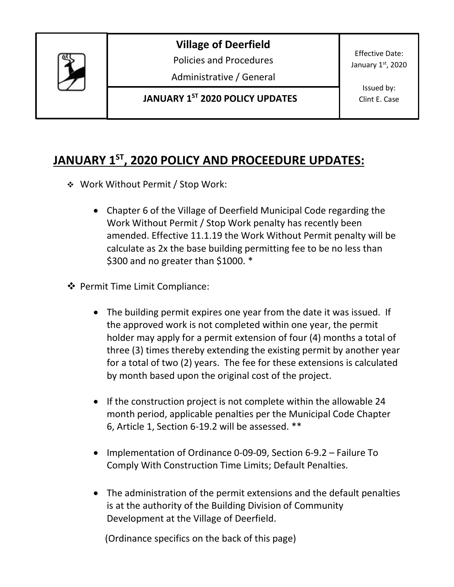

**Village of Deerfield**

Policies and Procedures

Administrative / General

**JANUARY 1ST 2020 POLICY UPDATES**

Effective Date: January 1st, 2020

> Issued by: Clint E. Case

## **JANUARY 1ST, 2020 POLICY AND PROCEEDURE UPDATES:**

- Work Without Permit / Stop Work:
	- Chapter 6 of the Village of Deerfield Municipal Code regarding the Work Without Permit / Stop Work penalty has recently been amended. Effective 11.1.19 the Work Without Permit penalty will be calculate as 2x the base building permitting fee to be no less than \$300 and no greater than \$1000. \*
- ❖ Permit Time Limit Compliance:
	- The building permit expires one year from the date it was issued. If the approved work is not completed within one year, the permit holder may apply for a permit extension of four (4) months a total of three (3) times thereby extending the existing permit by another year for a total of two (2) years. The fee for these extensions is calculated by month based upon the original cost of the project.
	- If the construction project is not complete within the allowable 24 month period, applicable penalties per the Municipal Code Chapter 6, Article 1, Section 6-19.2 will be assessed. \*\*
	- Implementation of Ordinance 0-09-09, Section 6-9.2 Failure To Comply With Construction Time Limits; Default Penalties.
	- The administration of the permit extensions and the default penalties is at the authority of the Building Division of Community Development at the Village of Deerfield.

(Ordinance specifics on the back of this page)